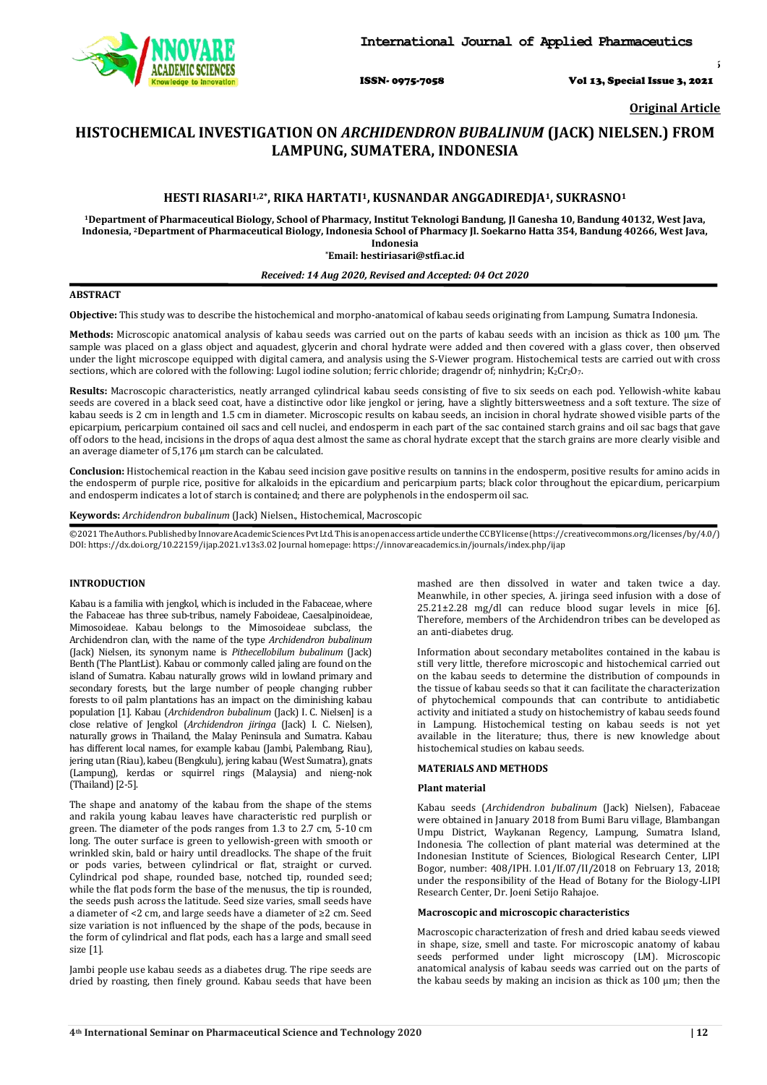

ISSN- 0975-7058 Vol 13, Special Issue 3, 2021

*Int J App Pharm, Vol 13, Special Issue 3, 2021, 12-16*

**Original Article**

# **HISTOCHEMICAL INVESTIGATION ON** *ARCHIDENDRON BUBALINUM* **(JACK) NIELSEN.) FROM LAMPUNG, SUMATERA, INDONESIA**

## **HESTI RIASARI1,2\* , RIKA HARTATI1, KUSNANDAR ANGGADIREDJA1, SUKRASNO<sup>1</sup>**

**<sup>1</sup>Department of Pharmaceutical Biology, School of Pharmacy, Institut Teknologi Bandung, Jl Ganesha 10, Bandung 40132, West Java, Indonesia, 2Department of Pharmaceutical Biology, Indonesia School of Pharmacy Jl. Soekarno Hatta 354, Bandung 40266, West Java, Indonesia**

**\*Email: hestiriasari@stfi.ac.id**

## *Received: 14 Aug 2020, Revised and Accepted: 04 Oct 2020*

#### **ABSTRACT**

**Objective:** This study was to describe the histochemical and morpho-anatomical of kabau seeds originating from Lampung, Sumatra Indonesia.

**Methods:** Microscopic anatomical analysis of kabau seeds was carried out on the parts of kabau seeds with an incision as thick as 100 μm. The sample was placed on a glass object and aquadest, glycerin and choral hydrate were added and then covered with a glass cover, then observed under the light microscope equipped with digital camera, and analysis using the S-Viewer program. Histochemical tests are carried out with cross sections, which are colored with the following: Lugol iodine solution; ferric chloride; dragendr of; ninhydrin; K<sub>2</sub>Cr<sub>2</sub>O<sub>7</sub>.

**Results:** Macroscopic characteristics, neatly arranged cylindrical kabau seeds consisting of five to six seeds on each pod. Yellowish-white kabau seeds are covered in a black seed coat, have a distinctive odor like jengkol or jering, have a slightly bittersweetness and a soft texture. The size of kabau seeds is 2 cm in length and 1.5 cm in diameter. Microscopic results on kabau seeds, an incision in choral hydrate showed visible parts of the epicarpium, pericarpium contained oil sacs and cell nuclei, and endosperm in each part of the sac contained starch grains and oil sac bags that gave off odors to the head, incisions in the drops of aqua dest almost the same as choral hydrate except that the starch grains are more clearly visible and an average diameter of 5,176 μm starch can be calculated.

**Conclusion:** Histochemical reaction in the Kabau seed incision gave positive results on tannins in the endosperm, positive results for amino acids in the endosperm of purple rice, positive for alkaloids in the epicardium and pericarpium parts; black color throughout the epicardium, pericarpium and endosperm indicates a lot of starch is contained; and there are polyphenols in the endosperm oil sac.

**Keywords:** *Archidendron bubalinum* (Jack) Nielsen., Histochemical, Macroscopic

©2021TheAuthors.PublishedbyInnovareAcademicSciencesPvtLtd.This isanopenaccess articleunder theCCBYlicens[e\(https://creativ]((https:/creati)[ecommons.o](http://creativecommons/)rg/licenses/by/4.0/) DOI: [https://dx.doi.org/10.22159/ijap.2021.v13s3.0](https://dx.doi.org/10.22159/ijap.2021.v13s3)2 Journal homepage[: https://innovareacademics.in/journals/index.php/ijap](https://innovareacademics.in/journals/index.php/ijap)

## **INTRODUCTION**

Kabau is a familia with jengkol, which is included in the Fabaceae, where the Fabaceae has three sub-tribus, namely Faboideae, Caesalpinoideae, Mimosoideae. Kabau belongs to the Mimosoideae subclass, the Archidendron clan, with the name of the type *Archidendron bubalinum* (Jack) Nielsen, its synonym name is *Pithecellobilum bubalinum* (Jack) Benth (The PlantList). Kabau or commonly called jaling are found on the island of Sumatra. Kabau naturally grows wild in lowland primary and secondary forests, but the large number of people changing rubber forests to oil palm plantations has an impact on the diminishing kabau population [1]. Kabau (*Archidendron bubalinum* (Jack) I. C. Nielsen] is a close relative of Jengkol (*Archidendron jiringa* (Jack) I. C. Nielsen), naturally grows in Thailand, the Malay Peninsula and Sumatra. Kabau has different local names, for example kabau (Jambi, Palembang, Riau), jering utan (Riau), kabeu (Bengkulu), jering kabau (West Sumatra), gnats (Lampung), kerdas or squirrel rings (Malaysia) and nieng-nok (Thailand)[2-5].

The shape and anatomy of the kabau from the shape of the stems and rakila young kabau leaves have characteristic red purplish or green. The diameter of the pods ranges from 1.3 to 2.7 cm, 5-10 cm long. The outer surface is green to yellowish-green with smooth or wrinkled skin, bald or hairy until dreadlocks. The shape of the fruit or pods varies, between cylindrical or flat, straight or curved. Cylindrical pod shape, rounded base, notched tip, rounded seed; while the flat pods form the base of the menusus, the tip is rounded, the seeds push across the latitude. Seed size varies, small seeds have a diameter of <2 cm, and large seeds have a diameter of ≥2 cm. Seed size variation is not influenced by the shape of the pods, because in the form of cylindrical and flat pods, each has a large and small seed size [1].

Jambi people use kabau seeds as a diabetes drug. The ripe seeds are dried by roasting, then finely ground. Kabau seeds that have been

mashed are then dissolved in water and taken twice a day. Meanwhile, in other species, A. jiringa seed infusion with a dose of 25.21±2.28 mg/dl can reduce blood sugar levels in mice [6]. Therefore, members of the Archidendron tribes can be developed as an anti-diabetes drug.

Information about secondary metabolites contained in the kabau is still very little, therefore microscopic and histochemical carried out on the kabau seeds to determine the distribution of compounds in the tissue of kabau seeds so that it can facilitate the characterization of phytochemical compounds that can contribute to antidiabetic activity and initiated a study on histochemistry of kabau seeds found in Lampung. Histochemical testing on kabau seeds is not yet available in the literature; thus, there is new knowledge about histochemical studies on kabau seeds.

## **MATERIALS AND METHODS**

### **Plant material**

Kabau seeds (*Archidendron bubalinum* (Jack) Nielsen), Fabaceae were obtained in January 2018 from Bumi Baru village, Blambangan Umpu District, Waykanan Regency, Lampung, Sumatra Island, Indonesia. The collection of plant material was determined at the Indonesian Institute of Sciences, Biological Research Center, LIPI Bogor, number: 408/IPH. I.01/If.07/II/2018 on February 13, 2018; under the responsibility of the Head of Botany for the Biology-LIPI Research Center, Dr. Joeni Setijo Rahajoe.

#### **Macroscopic and microscopic characteristics**

Macroscopic characterization of fresh and dried kabau seeds viewed in shape, size, smell and taste. For microscopic anatomy of kabau seeds performed under light microscopy (LM). Microscopic anatomical analysis of kabau seeds was carried out on the parts of the kabau seeds by making an incision as thick as 100 μm; then the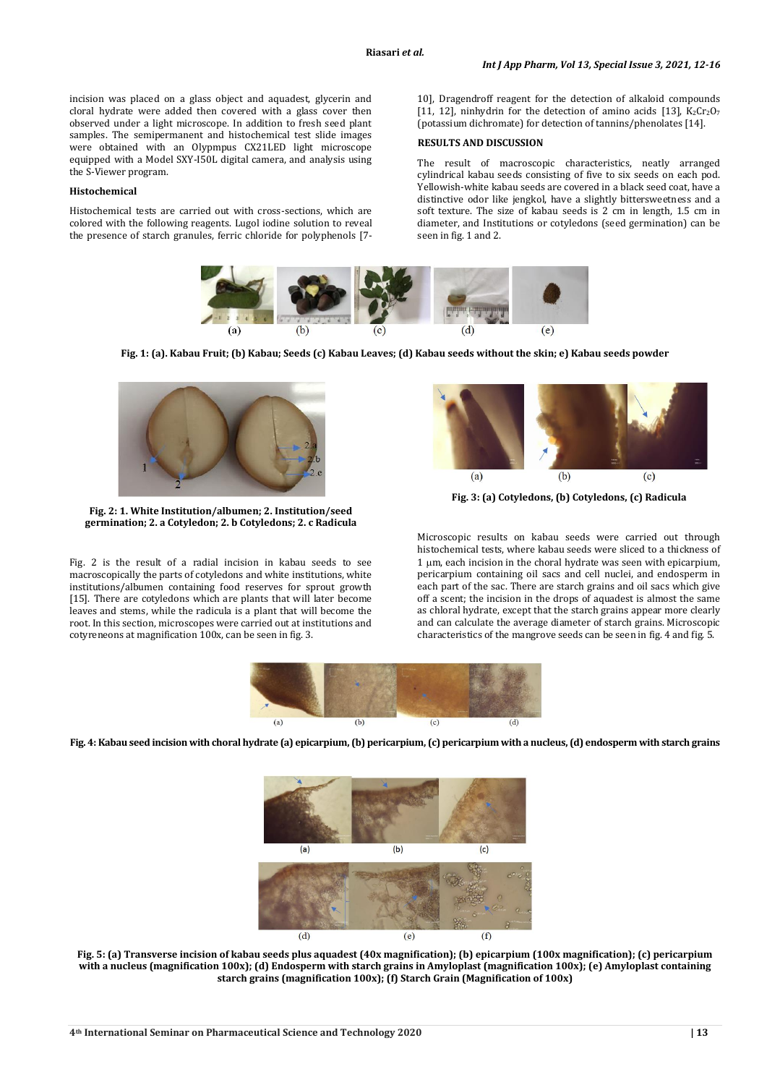incision was placed on a glass object and aquadest, glycerin and cloral hydrate were added then covered with a glass cover then observed under a light microscope. In addition to fresh seed plant samples. The semipermanent and histochemical test slide images were obtained with an Olypmpus CX21LED light microscope equipped with a Model SXY-I50L digital camera, and analysis using the S-Viewer program.

## **Histochemical**

Histochemical tests are carried out with cross-sections, which are colored with the following reagents. Lugol iodine solution to reveal the presence of starch granules, ferric chloride for polyphenols [7-

10], Dragendroff reagent for the detection of alkaloid compounds [11, 12], ninhydrin for the detection of amino acids [13],  $K_2Cr_2O_7$ (potassium dichromate) for detection of tannins/phenolates [14].

#### **RESULTS AND DISCUSSION**

The result of macroscopic characteristics, neatly arranged cylindrical kabau seeds consisting of five to six seeds on each pod. Yellowish-white kabau seeds are covered in a black seed coat, have a distinctive odor like jengkol, have a slightly bittersweetness and a soft texture. The size of kabau seeds is 2 cm in length, 1.5 cm in diameter, and Institutions or cotyledons (seed germination) can be seen in fig. 1 and 2.



**Fig. 1: (a). Kabau Fruit; (b) Kabau; Seeds (c) Kabau Leaves; (d) Kabau seeds without the skin; e) Kabau seeds powder**



**Fig. 2: 1. White Institution/albumen; 2. Institution/seed germination; 2. a Cotyledon; 2. b Cotyledons; 2. c Radicula**

Fig. 2 is the result of a radial incision in kabau seeds to see macroscopically the parts of cotyledons and white institutions, white institutions/albumen containing food reserves for sprout growth [15]. There are cotyledons which are plants that will later become leaves and stems, while the radicula is a plant that will become the root. In this section, microscopes were carried out at institutions and cotyreneons at magnification 100x, can be seen in fig. 3.



**Fig. 3: (a) Cotyledons, (b) Cotyledons, (c) Radicula**

Microscopic results on kabau seeds were carried out through histochemical tests, where kabau seeds were sliced to a thickness of  $1 \mu m$ , each incision in the choral hydrate was seen with epicarpium, pericarpium containing oil sacs and cell nuclei, and endosperm in each part of the sac. There are starch grains and oil sacs which give off a scent; the incision in the drops of aquadest is almost the same as chloral hydrate, except that the starch grains appear more clearly and can calculate the average diameter of starch grains. Microscopic characteristics of the mangrove seeds can be seen in fig. 4 and fig. 5.



**Fig. 4: Kabau seed incision with choral hydrate (a) epicarpium, (b) pericarpium, (c) pericarpium with a nucleus, (d) endosperm with starch grains**



**Fig. 5: (a) Transverse incision of kabau seeds plus aquadest (40x magnification); (b) epicarpium (100x magnification); (c) pericarpium with a nucleus (magnification 100x); (d) Endosperm with starch grains in Amyloplast (magnification 100x); (e) Amyloplast containing starch grains (magnification 100x); (f) Starch Grain (Magnification of 100x)**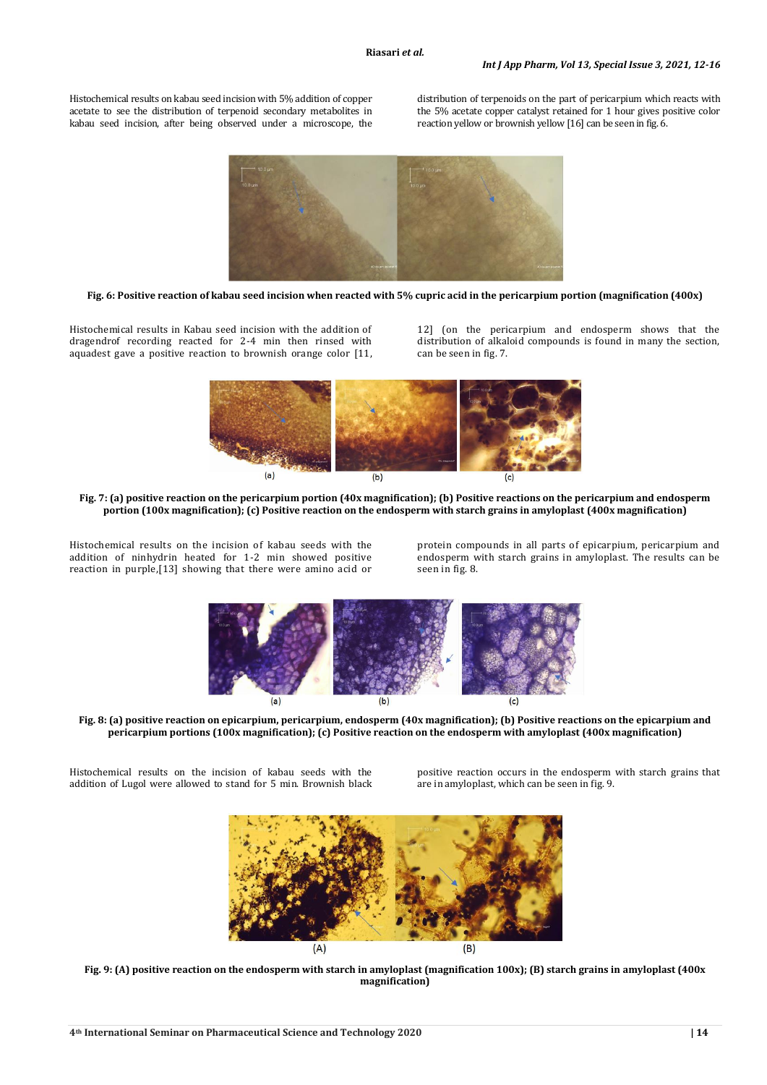Histochemical results on kabau seed incision with 5% addition of copper acetate to see the distribution of terpenoid secondary metabolites in kabau seed incision, after being observed under a microscope, the distribution of terpenoids on the part of pericarpium which reacts with the 5% acetate copper catalyst retained for 1 hour gives positive color reaction yellow or brownish yellow [16] can be seen in fig. 6.



**Fig. 6: Positive reaction of kabau seed incision when reacted with 5% cupric acid in the pericarpium portion (magnification (400x)**

Histochemical results in Kabau seed incision with the addition of dragendrof recording reacted for 2-4 min then rinsed with aquadest gave a positive reaction to brownish orange color [11,

12] (on the pericarpium and endosperm shows that the distribution of alkaloid compounds is found in many the section, can be seen in fig. 7.



**Fig. 7: (a) positive reaction on the pericarpium portion (40x magnification); (b) Positive reactions on the pericarpium and endosperm portion (100x magnification); (c) Positive reaction on the endosperm with starch grains in amyloplast (400x magnification)**

Histochemical results on the incision of kabau seeds with the addition of ninhydrin heated for 1-2 min showed positive reaction in purple,[13] showing that there were amino acid or protein compounds in all parts of epicarpium, pericarpium and endosperm with starch grains in amyloplast. The results can be seen in fig. 8.



**Fig. 8: (a) positive reaction on epicarpium, pericarpium, endosperm (40x magnification); (b) Positive reactions on the epicarpium and pericarpium portions (100x magnification); (c) Positive reaction on the endosperm with amyloplast (400x magnification)**

Histochemical results on the incision of kabau seeds with the addition of Lugol were allowed to stand for 5 min. Brownish black positive reaction occurs in the endosperm with starch grains that are in amyloplast, which can be seen in fig. 9.



**Fig. 9: (A) positive reaction on the endosperm with starch in amyloplast (magnification 100x); (B) starch grains in amyloplast (400x magnification)**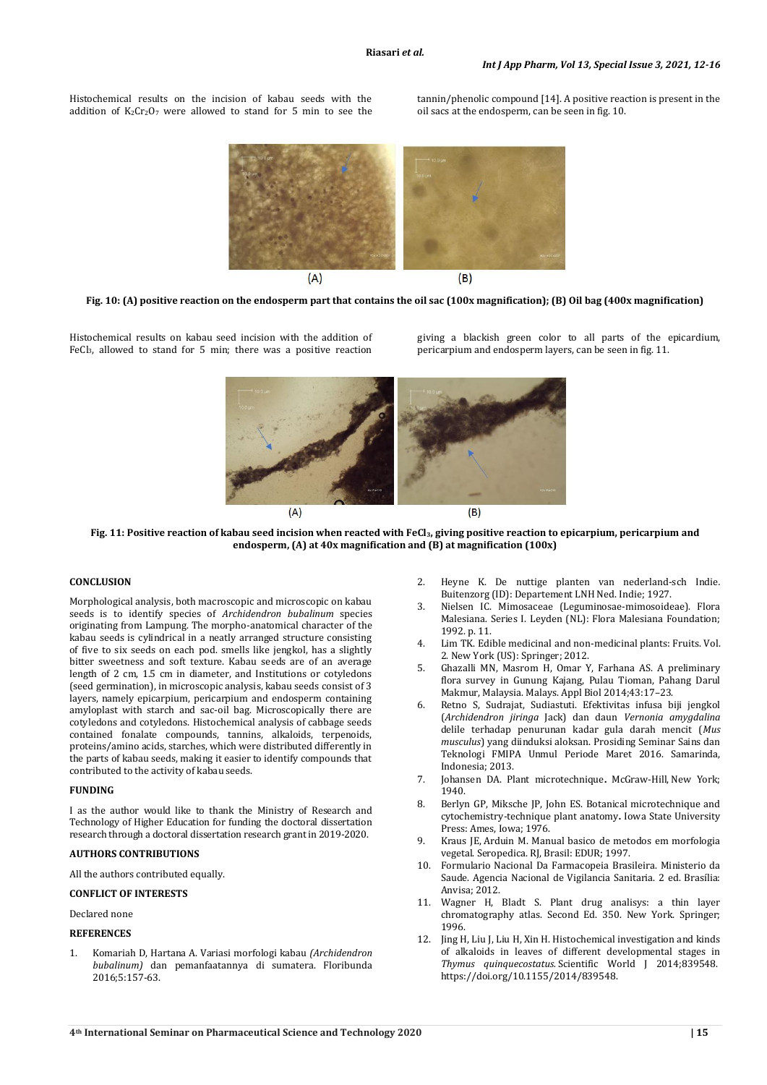Histochemical results on the incision of kabau seeds with the addition of  $K_2Cr_2O_7$  were allowed to stand for 5 min to see the tannin/phenolic compound [14]. A positive reaction is present in the oil sacs at the endosperm, can be seen in fig. 10.





Histochemical results on kabau seed incision with the addition of FeCl3, allowed to stand for 5 min; there was a positive reaction giving a blackish green color to all parts of the epicardium, pericarpium and endosperm layers, can be seen in fig. 11.





**Fig. 11: Positive reaction of kabau seed incision when reacted with FeCl3, giving positive reaction to epicarpium, pericarpium and endosperm, (A) at 40x magnification and (B) at magnification (100x)**

#### **CONCLUSION**

Morphological analysis, both macroscopic and microscopic on kabau seeds is to identify species of *Archidendron bubalinum* species originating from Lampung. The morpho-anatomical character of the kabau seeds is cylindrical in a neatly arranged structure consisting of five to six seeds on each pod. smells like jengkol, has a slightly bitter sweetness and soft texture. Kabau seeds are of an average length of 2 cm, 1.5 cm in diameter, and Institutions or cotyledons (seed germination), in microscopic analysis, kabau seeds consist of 3 layers, namely epicarpium, pericarpium and endosperm containing amyloplast with starch and sac-oil bag. Microscopically there are cotyledons and cotyledons. Histochemical analysis of cabbage seeds contained fonalate compounds, tannins, alkaloids, terpenoids, proteins/amino acids, starches, which were distributed differently in the parts of kabau seeds, making it easier to identify compounds that contributed to the activity of kabau seeds.

#### **FUNDING**

I as the author would like to thank the Ministry of Research and Technology of Higher Education for funding the doctoral dissertation research through a doctoral dissertation research grant in 2019-2020.

#### **AUTHORS CONTRIBUTIONS**

All the authors contributed equally.

## **CONFLICT OF INTERESTS**

Declared none

#### **REFERENCES**

1. Komariah D, Hartana A. Variasi morfologi kabau *(Archidendron bubalinum)* dan pemanfaatannya di sumatera. Floribunda 2016;5:157-63.

- 2. Heyne K. De nuttige planten van nederland-sch Indie*.*  Buitenzorg (ID): Departement LNH Ned. Indie; 1927.
- 3. Nielsen IC. Mimosaceae (Leguminosae-mimosoideae). Flora Malesiana*.* Series I. Leyden (NL): Flora Malesiana Foundation; 1992. p. 11.
- Lim TK. Edible medicinal and non-medicinal plants: Fruits. Vol. 2. New York (US): Springer; 2012.
- 5. Ghazalli MN, Masrom H, Omar Y, Farhana AS. A preliminary flora survey in Gunung Kajang, Pulau Tioman, Pahang Darul Makmur, Malaysia. Malays. Appl Biol 2014;43:17–23.
- 6. Retno S, Sudrajat, Sudiastuti. Efektivitas infusa biji jengkol (*Archidendron jiringa* Jack) dan daun *Vernonia amygdalina*  delile terhadap penurunan kadar gula darah mencit (*Mus musculus*) yang diinduksi aloksan. Prosiding Seminar Sains dan Teknologi FMIPA Unmul Periode Maret 2016. Samarinda, Indonesia; 2013.
- 7. Johansen DA. Plant microtechnique**.** McGraw-Hill, New York; 1940.
- 8. Berlyn GP, Miksche JP, John ES. Botanical microtechnique and cytochemistry-technique plant anatomy**.** Iowa State University Press: Ames, Iowa; 1976.
- 9. Kraus JE, Arduin M. Manual basico de metodos em morfologia vegetal. Seropedica. RJ, Brasil: EDUR; 1997.
- 10. Formulario Nacional Da Farmacopeia Brasileira. Ministerio da Saude. Agencia Nacional de Vigilancia Sanitaria. 2 ed. Brasília: Anvisa; 2012.
- 11. Wagner H, Bladt S. Plant drug analisys: a thin layer chromatography atlas. Second Ed. 350. New York. Springer; 1996.
- 12. Jing H, Liu J, Liu H, Xin H. Histochemical investigation and kinds of alkaloids in leaves of different developmental stages in *Thymus quinquecostatus.* Scientific World J 2014;839548. https://doi.org/10.1155/2014/839548.